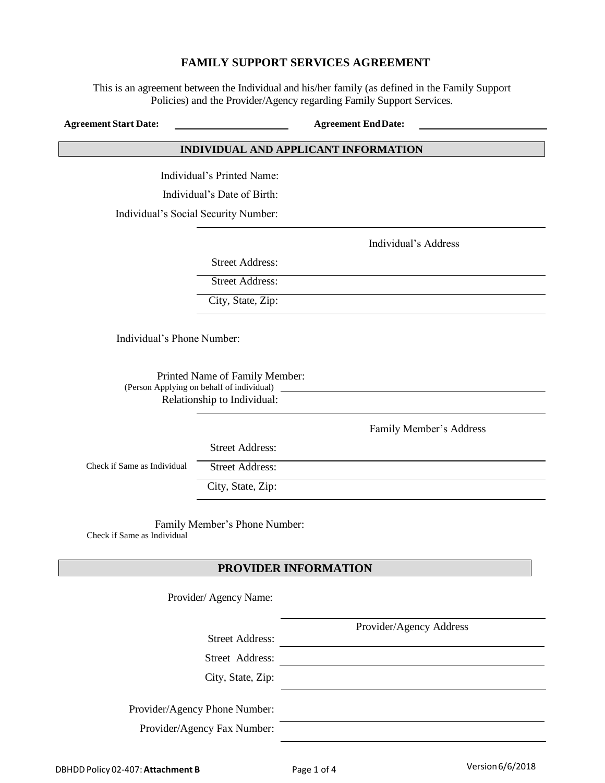#### **FAMILY SUPPORT SERVICES AGREEMENT**

This is an agreement between the Individual and his/her family (as defined in the Family Support Policies) and the Provider/Agency regarding Family Support Services.

**Agreement Start Date: Agreement EndDate:**

#### **INDIVIDUAL AND APPLICANT INFORMATION**

Individual's Printed Name:

Individual's Date of Birth:

Individual's Social Security Number:

Individual's Address

Street Address:

Street Address:

City, State, Zip:

Individual's Phone Number:

Printed Name of Family Member: (Person Applying on behalf of individual) Relationship to Individual:

Family Member's Address

Provider/Agency Address

Street Address:

Check if Same as Individual Street Address:

City, State, Zip:

Family Member's Phone Number: Check if Same as Individual

## **PROVIDER INFORMATION**

Provider/ Agency Name:

Street Address:

Street Address:

City, State, Zip:

Provider/Agency Phone Number:

Provider/Agency Fax Number: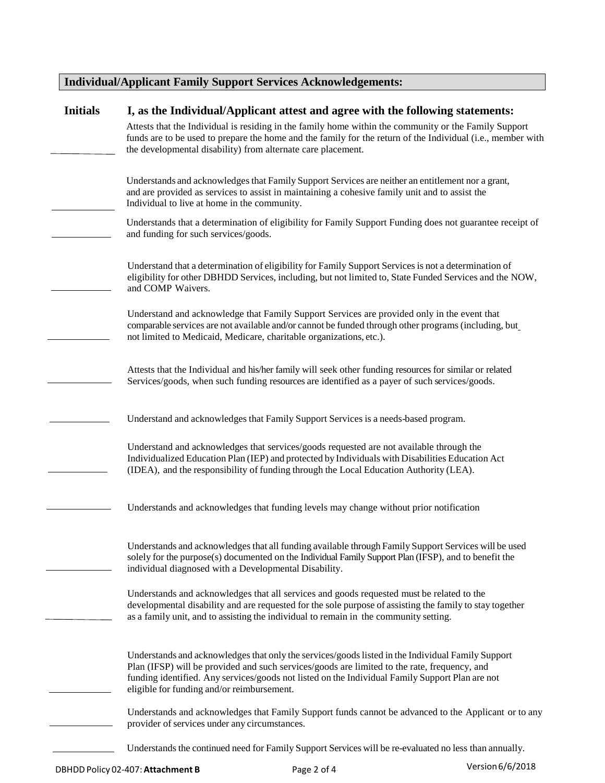# **Individual/Applicant Family Support Services Acknowledgements:**

| <b>Initials</b> | I, as the Individual/Applicant attest and agree with the following statements:                                                                                                                                                                                                                                                                     |  |  |  |
|-----------------|----------------------------------------------------------------------------------------------------------------------------------------------------------------------------------------------------------------------------------------------------------------------------------------------------------------------------------------------------|--|--|--|
|                 | Attests that the Individual is residing in the family home within the community or the Family Support<br>funds are to be used to prepare the home and the family for the return of the Individual (i.e., member with<br>the developmental disability) from alternate care placement.                                                               |  |  |  |
|                 | Understands and acknowledges that Family Support Services are neither an entitlement nor a grant,<br>and are provided as services to assist in maintaining a cohesive family unit and to assist the<br>Individual to live at home in the community.                                                                                                |  |  |  |
|                 | Understands that a determination of eligibility for Family Support Funding does not guarantee receipt of<br>and funding for such services/goods.                                                                                                                                                                                                   |  |  |  |
|                 | Understand that a determination of eligibility for Family Support Services is not a determination of<br>eligibility for other DBHDD Services, including, but not limited to, State Funded Services and the NOW,<br>and COMP Waivers.                                                                                                               |  |  |  |
|                 | Understand and acknowledge that Family Support Services are provided only in the event that<br>comparable services are not available and/or cannot be funded through other programs (including, but<br>not limited to Medicaid, Medicare, charitable organizations, etc.).                                                                         |  |  |  |
|                 | Attests that the Individual and his/her family will seek other funding resources for similar or related<br>Services/goods, when such funding resources are identified as a payer of such services/goods.                                                                                                                                           |  |  |  |
|                 | Understand and acknowledges that Family Support Services is a needs-based program.                                                                                                                                                                                                                                                                 |  |  |  |
|                 | Understand and acknowledges that services/goods requested are not available through the<br>Individualized Education Plan (IEP) and protected by Individuals with Disabilities Education Act<br>(IDEA), and the responsibility of funding through the Local Education Authority (LEA).                                                              |  |  |  |
|                 | Understands and acknowledges that funding levels may change without prior notification                                                                                                                                                                                                                                                             |  |  |  |
|                 | Understands and acknowledges that all funding available through Family Support Services will be used<br>solely for the purpose(s) documented on the Individual Family Support Plan (IFSP), and to benefit the<br>individual diagnosed with a Developmental Disability.                                                                             |  |  |  |
|                 | Understands and acknowledges that all services and goods requested must be related to the<br>developmental disability and are requested for the sole purpose of assisting the family to stay together<br>as a family unit, and to assisting the individual to remain in the community setting.                                                     |  |  |  |
|                 | Understands and acknowledges that only the services/goods listed in the Individual Family Support<br>Plan (IFSP) will be provided and such services/goods are limited to the rate, frequency, and<br>funding identified. Any services/goods not listed on the Individual Family Support Plan are not<br>eligible for funding and/or reimbursement. |  |  |  |
|                 | Understands and acknowledges that Family Support funds cannot be advanced to the Applicant or to any<br>provider of services under any circumstances.                                                                                                                                                                                              |  |  |  |
|                 | Understands the continued need for Family Support Services will be re-evaluated no less than annually.                                                                                                                                                                                                                                             |  |  |  |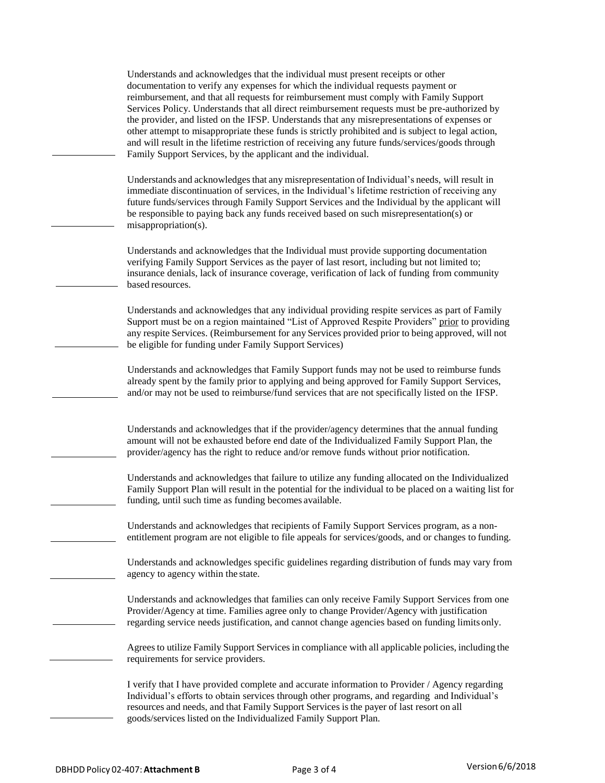Understands and acknowledges that the individual must present receipts or other documentation to verify any expenses for which the individual requests payment or reimbursement, and that all requests for reimbursement must comply with Family Support Services Policy. Understands that all direct reimbursement requests must be pre-authorized by the provider, and listed on the IFSP. Understands that any misrepresentations of expenses or other attempt to misappropriate these funds is strictly prohibited and is subject to legal action, and will result in the lifetime restriction of receiving any future funds/services/goods through Family Support Services, by the applicant and the individual.

Understands and acknowledgesthat any misrepresentation of Individual's needs, will result in immediate discontinuation of services, in the Individual's lifetime restriction of receiving any future funds/services through Family Support Services and the Individual by the applicant will be responsible to paying back any funds received based on such misrepresentation(s) or misappropriation(s).

Understands and acknowledges that the Individual must provide supporting documentation verifying Family Support Services as the payer of last resort, including but not limited to; insurance denials, lack of insurance coverage, verification of lack of funding from community based resources.

Understands and acknowledges that any individual providing respite services as part of Family Support must be on a region maintained "List of Approved Respite Providers" prior to providing any respite Services. (Reimbursement for any Services provided prior to being approved, will not be eligible for funding under Family Support Services)

Understands and acknowledges that Family Support funds may not be used to reimburse funds already spent by the family prior to applying and being approved for Family Support Services, and/or may not be used to reimburse/fund services that are not specifically listed on the IFSP.

Understands and acknowledges that if the provider/agency determines that the annual funding amount will not be exhausted before end date of the Individualized Family Support Plan, the provider/agency has the right to reduce and/or remove funds without prior notification.

Understands and acknowledges that failure to utilize any funding allocated on the Individualized Family Support Plan will result in the potential for the individual to be placed on a waiting list for funding, until such time as funding becomes available.

Understands and acknowledges that recipients of Family Support Services program, as a nonentitlement program are not eligible to file appeals for services/goods, and or changes to funding.

Understands and acknowledges specific guidelines regarding distribution of funds may vary from agency to agency within the state.

Understands and acknowledges that families can only receive Family Support Services from one Provider/Agency at time. Families agree only to change Provider/Agency with justification regarding service needs justification, and cannot change agencies based on funding limits only.

Agrees to utilize Family Support Services in compliance with all applicable policies, including the requirements for service providers.

I verify that I have provided complete and accurate information to Provider / Agency regarding Individual's efforts to obtain services through other programs, and regarding and Individual's resources and needs, and that Family Support Services is the payer of last resort on all goods/services listed on the Individualized Family Support Plan.